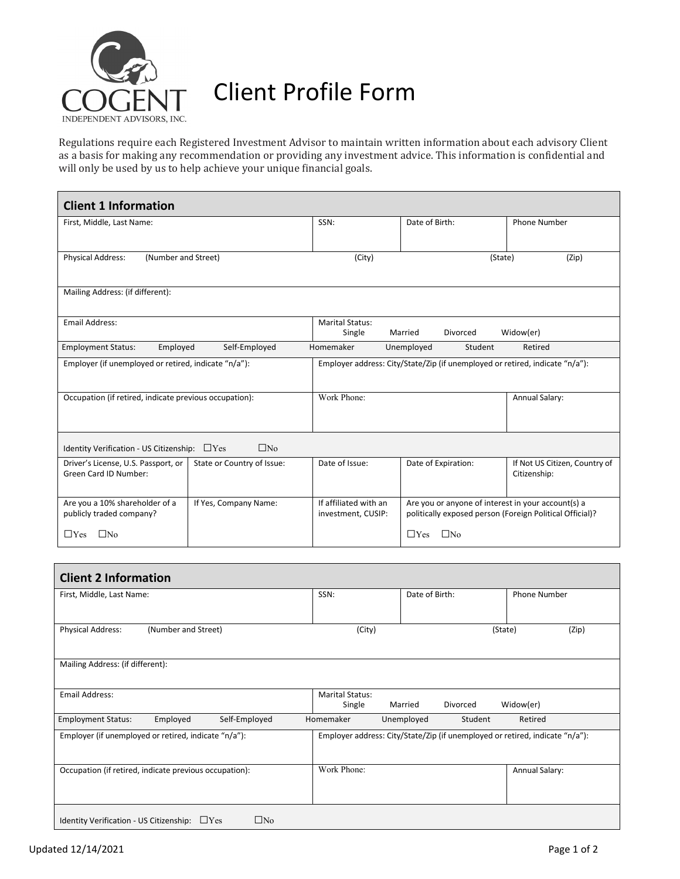

## Client Profile Form

Regulations require each Registered Investment Advisor to maintain written information about each advisory Client as a basis for making any recommendation or providing any investment advice. This information is confidential and will only be used by us to help achieve your unique financial goals.

| <b>Client 1 Information</b>                                                                                                          |                            |                                             |                                                                                                                |                                               |  |  |
|--------------------------------------------------------------------------------------------------------------------------------------|----------------------------|---------------------------------------------|----------------------------------------------------------------------------------------------------------------|-----------------------------------------------|--|--|
| First, Middle, Last Name:                                                                                                            |                            | SSN:                                        | Date of Birth:                                                                                                 | <b>Phone Number</b>                           |  |  |
|                                                                                                                                      |                            |                                             |                                                                                                                |                                               |  |  |
| Physical Address:<br>(Number and Street)                                                                                             |                            | (City)                                      | (State)                                                                                                        |                                               |  |  |
| Mailing Address: (if different):                                                                                                     |                            |                                             |                                                                                                                |                                               |  |  |
| <b>Email Address:</b>                                                                                                                |                            | <b>Marital Status:</b>                      |                                                                                                                |                                               |  |  |
|                                                                                                                                      |                            | Single                                      | Married<br>Divorced                                                                                            | Widow(er)                                     |  |  |
| Employed<br><b>Employment Status:</b>                                                                                                | Self-Employed              | Homemaker                                   | Unemployed<br>Student                                                                                          | Retired                                       |  |  |
| Employer (if unemployed or retired, indicate "n/a"):<br>Employer address: City/State/Zip (if unemployed or retired, indicate "n/a"): |                            |                                             |                                                                                                                |                                               |  |  |
| Occupation (if retired, indicate previous occupation):                                                                               |                            | Work Phone:                                 |                                                                                                                | Annual Salary:                                |  |  |
| Identity Verification - US Citizenship: $\Box$ Yes                                                                                   | $\Box$ No                  |                                             |                                                                                                                |                                               |  |  |
| Driver's License, U.S. Passport, or<br>Green Card ID Number:                                                                         | State or Country of Issue: | Date of Issue:                              | Date of Expiration:                                                                                            | If Not US Citizen, Country of<br>Citizenship: |  |  |
| Are you a 10% shareholder of a<br>If Yes, Company Name:<br>publicly traded company?                                                  |                            | If affiliated with an<br>investment, CUSIP: | Are you or anyone of interest in your account(s) a<br>politically exposed person (Foreign Political Official)? |                                               |  |  |
| $\Box$ Yes<br>$\Box$ No                                                                                                              |                            |                                             | $\Box$ Yes<br>$\Box$ No                                                                                        |                                               |  |  |

| First, Middle, Last Name:                              |                     | SSN:          | Date of Birth:                   |            |                                                                              | <b>Phone Number</b> |       |
|--------------------------------------------------------|---------------------|---------------|----------------------------------|------------|------------------------------------------------------------------------------|---------------------|-------|
|                                                        |                     |               |                                  |            |                                                                              |                     |       |
| <b>Physical Address:</b>                               | (Number and Street) |               | (City)                           |            |                                                                              | (State)             | (Zip) |
|                                                        |                     |               |                                  |            |                                                                              |                     |       |
| Mailing Address: (if different):                       |                     |               |                                  |            |                                                                              |                     |       |
|                                                        |                     |               |                                  |            |                                                                              |                     |       |
| Email Address:                                         |                     |               | <b>Marital Status:</b><br>Single | Married    | Divorced                                                                     | Widow(er)           |       |
|                                                        |                     | Self-Employed | Homemaker                        | Unemployed | Student                                                                      | Retired             |       |
|                                                        |                     |               |                                  |            |                                                                              |                     |       |
| <b>Employment Status:</b>                              | Employed            |               |                                  |            |                                                                              |                     |       |
| Employer (if unemployed or retired, indicate "n/a"):   |                     |               |                                  |            | Employer address: City/State/Zip (if unemployed or retired, indicate "n/a"): |                     |       |
|                                                        |                     |               |                                  |            |                                                                              |                     |       |
| Occupation (if retired, indicate previous occupation): |                     |               | Work Phone:                      |            |                                                                              | Annual Salary:      |       |
|                                                        |                     |               |                                  |            |                                                                              |                     |       |